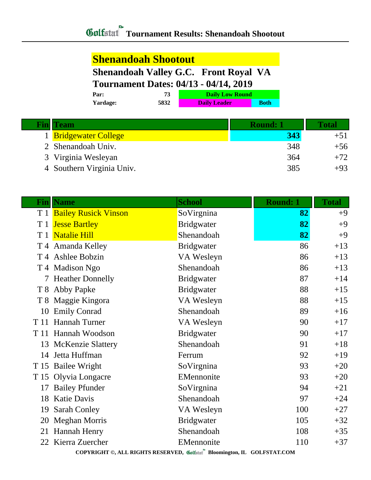## **Shenandoah Shootout**

## **Shenandoah Valley G.C. Front Royal VA**

## **Tournament Dates: 04/13 - 04/14, 2019**

| Par:     |      | <b>Daily Low Round</b> |             |
|----------|------|------------------------|-------------|
| Yardage: | 5832 | <b>Daily Leader</b>    | <b>Both</b> |

| <b>Team</b>               | <b>Round: 1</b> | <b>Total</b> |
|---------------------------|-----------------|--------------|
| 1 Bridgewater College     | 343             | $+51$        |
| 2 Shenandoah Univ.        | 348             | $+56$        |
| 3 Virginia Wesleyan       | 364             | $+72$        |
| 4 Southern Virginia Univ. | 385             | $+93$        |

| Fin                                                                     | <b>Name</b>                  | <b>School</b>     | <b>Round: 1</b> | <b>Total</b> |
|-------------------------------------------------------------------------|------------------------------|-------------------|-----------------|--------------|
|                                                                         | T 1 Bailey Rusick Vinson     | SoVirgnina        | 82              | $+9$         |
| T <sub>1</sub>                                                          | <b>Jesse Bartley</b>         | <b>Bridgwater</b> | 82              | $+9$         |
| T <sub>1</sub>                                                          | <b>Natalie Hill</b>          | Shenandoah        | 82              | $+9$         |
|                                                                         | T 4 Amanda Kelley            | <b>Bridgwater</b> | 86              | $+13$        |
|                                                                         | T <sub>4</sub> Ashlee Bobzin | VA Wesleyn        | 86              | $+13$        |
|                                                                         | T 4 Madison Ngo              | Shenandoah        | 86              | $+13$        |
|                                                                         | 7 Heather Donnelly           | <b>Bridgwater</b> | 87              | $+14$        |
|                                                                         | T 8 Abby Papke               | <b>Bridgwater</b> | 88              | $+15$        |
|                                                                         | T 8 Maggie Kingora           | VA Wesleyn        | 88              | $+15$        |
| 10                                                                      | <b>Emily Conrad</b>          | Shenandoah        | 89              | $+16$        |
| T 11                                                                    | Hannah Turner                | VA Wesleyn        | 90              | $+17$        |
| T 11                                                                    | Hannah Woodson               | <b>Bridgwater</b> | 90              | $+17$        |
|                                                                         | 13 McKenzie Slattery         | Shenandoah        | 91              | $+18$        |
| 14                                                                      | Jetta Huffman                | Ferrum            | 92              | $+19$        |
|                                                                         | T 15 Bailee Wright           | SoVirgnina        | 93              | $+20$        |
|                                                                         | T 15 Olyvia Longacre         | EMennonite        | 93              | $+20$        |
| 17                                                                      | <b>Bailey Pfunder</b>        | SoVirgnina        | 94              | $+21$        |
| 18                                                                      | <b>Katie Davis</b>           | Shenandoah        | 97              | $+24$        |
| 19                                                                      | <b>Sarah Conley</b>          | VA Wesleyn        | 100             | $+27$        |
| 20                                                                      | <b>Meghan Morris</b>         | <b>Bridgwater</b> | 105             | $+32$        |
| 21                                                                      | <b>Hannah Henry</b>          | Shenandoah        | 108             | $+35$        |
|                                                                         | 22 Kierra Zuercher           | EMennonite        | 110             | $+37$        |
| COPYRIGHT ©, ALL RIGHTS RESERVED, Golfstat Bloomington, IL GOLFSTAT.COM |                              |                   |                 |              |